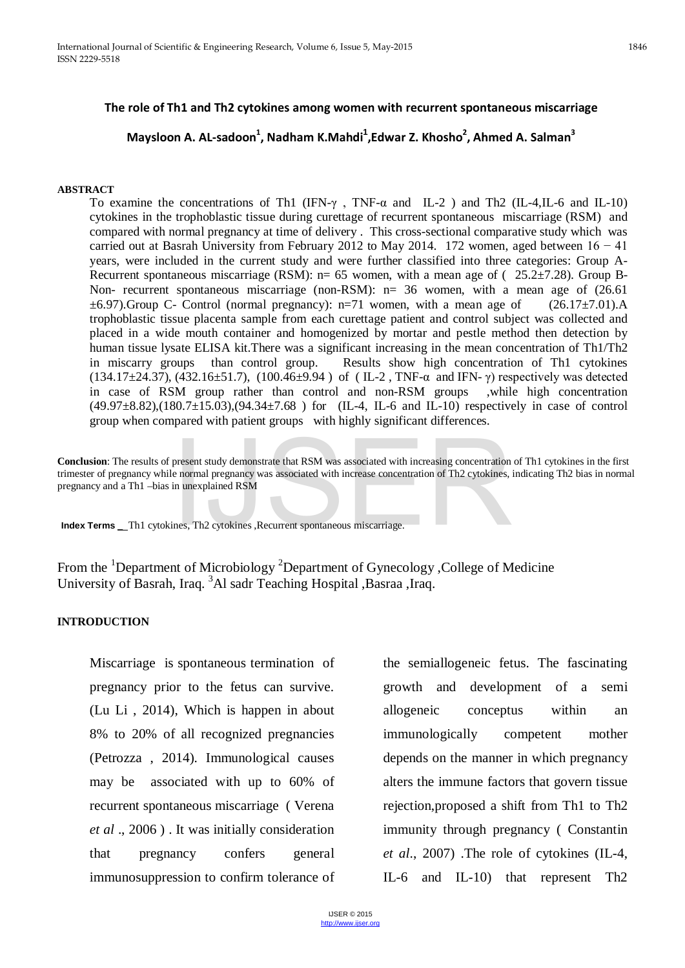## **The role of Th1 and Th2 cytokines among women with recurrent spontaneous miscarriage**

# $P$ <sup>1</sup>, Maysloon A. AL-sadoon<sup>1</sup>, Nadham K.Mahdi<sup>1</sup>,Edwar Z. Khosho<sup>2</sup>, Ahmed A. Salman<sup>3</sup>

#### **ABSTRACT**

To examine the concentrations of Th1 (IFN-γ , TNF-α and IL-2 ) and Th2 (IL-4,IL-6 and IL-10) cytokines in the trophoblastic tissue during curettage of recurrent spontaneous miscarriage (RSM) and compared with normal pregnancy at time of delivery . This cross-sectional comparative study which was carried out at Basrah University from February 2012 to May 2014. 172 women, aged between  $16 - 41$ years, were included in the current study and were further classified into three categories: Group A-Recurrent spontaneous miscarriage (RSM):  $n= 65$  women, with a mean age of ( 25.2 $\pm$ 7.28). Group B-Non- recurrent spontaneous miscarriage (non-RSM): n= 36 women, with a mean age of (26.61  $\pm$ 6.97).Group C- Control (normal pregnancy): n=71 women, with a mean age of (26.17 $\pm$ 7.01).A trophoblastic tissue placenta sample from each curettage patient and control subject was collected and placed in a wide mouth container and homogenized by mortar and pestle method then detection by human tissue lysate ELISA kit. There was a significant increasing in the mean concentration of Th1/Th2 in miscarry groups than control group. Results show high concentration of Th1 cytokines (134.17±24.37), (432.16±51.7), (100.46±9.94 )of ( IL-2 , TNF-α and IFN- γ) respectively was detected in case of RSM group rather than control and non-RSM groups ,while high concentration (49.97±8.82),(180.7±15.03),(94.34±7.68 ) for (IL-4, IL-6 and IL-10) respectively in case of control group when compared with patient groups with highly significant differences.

**Conclusion**: The results of present study demonstrate that RSM was associated with increasing concentration of Th1 cytokines in the first trimester of pregnancy while normal pregnancy was associated with increase concentration of Th2 cytokines, indicating Th2 bias in normal pregnancy and a Th1 –bias in unexplained RSM present study demonstrate that RSM was associated with increasing concentration<br>le normal pregnancy was associated with increase concentration of Th2 cytokines,<br>in unexplained RSM<br>ines, Th2 cytokines ,Recurrent spontaneous

**Index Terms** Th1 cytokines, Th2 cytokines, Recurrent spontaneous miscarriage.

From the <sup>1</sup>Department of Microbiology <sup>2</sup>Department of Gynecology , College of Medicine University of Basrah, Iraq. <sup>3</sup>Al sadr Teaching Hospital ,Basraa ,Iraq.

#### **INTRODUCTION**

Miscarriage is spontaneous termination of pregnancy prior to the fetus can survive. (Lu Li , 2014), Which is happen in about 8% to 20% of all recognized pregnancies (Petrozza , 2014). Immunological causes may be associated with up to 60% of recurrent spontaneous miscarriage ( Verena *et al* ., 2006 ) . It was initially consideration that pregnancy confers general immunosuppression to confirm tolerance of

the semiallogeneic fetus. The fascinating growth and development of a semi allogeneic conceptus within an immunologically competent mother depends on the manner in which pregnancy alters the immune factors that govern tissue rejection,proposed a shift from Th1 to Th2 immunity through pregnancy ( Constantin *et al*., 2007) .The role of cytokines (IL-4, IL-6 and IL-10) that represent Th2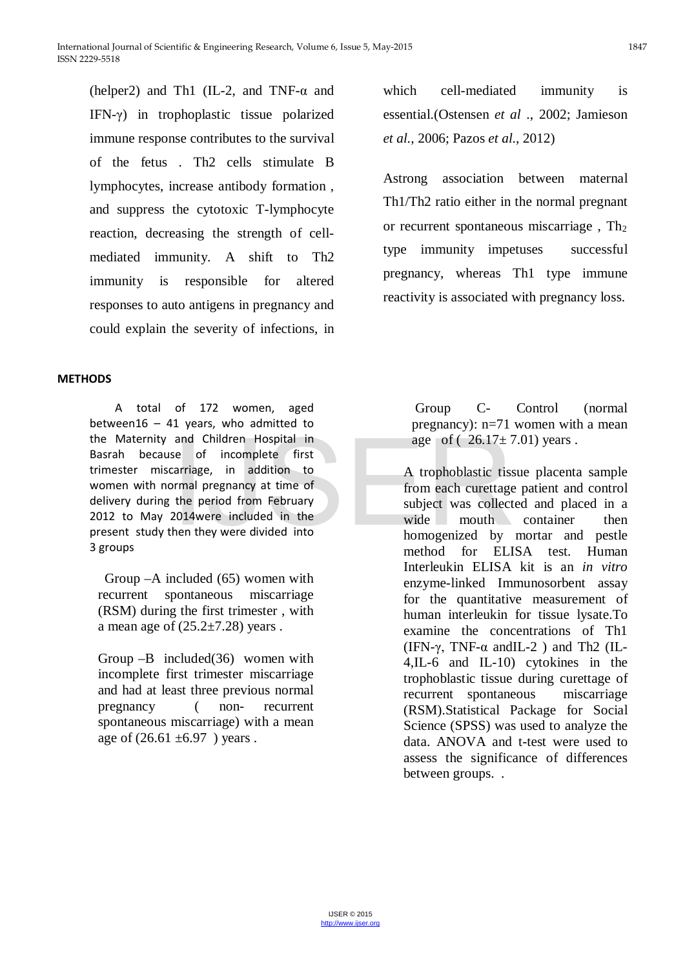(helper2) and Th1 (IL-2, and TNF-α and IFN-γ) in trophoplastic tissue polarized immune response contributes to the survival of the fetus . Th2 cells stimulate B lymphocytes, increase antibody formation , and suppress the cytotoxic T-lymphocyte reaction, decreasing the strength of cellmediated immunity. A shift to Th2 immunity is responsible for altered responses to auto antigens in pregnancy and could explain the severity of infections, in

### **METHODS**

 A total of 172 women, aged between16 - 41 years, who admitted to the Maternity and Children Hospital in Basrah because of incomplete first trimester miscarriage, in addition to women with normal pregnancy at time of delivery during the period from February 2012 to May 2014were included in the present study then they were divided into 3 groups and Children Hospital in<br>
se of incomplete first<br>
carriage, in addition to<br>
ormal pregnancy at time of<br>
the period from February<br>
2014were included in the<br>
then they were divided into<br>
then they were divided into<br>
then the

 Group –A included (65) women with recurrent spontaneous miscarriage (RSM) during the first trimester , with a mean age of  $(25.2\pm7.28)$  years.

Group –B included(36) women with incomplete first trimester miscarriage and had at least three previous normal pregnancy ( non- recurrent spontaneous miscarriage) with a mean age of  $(26.61 \pm 6.97)$  years.

which cell-mediated immunity is essential.(Ostensen *et al* ., 2002; Jamieson *et al.,* 2006; Pazos *et al*., 2012)

Astrong association between maternal Th1/Th2 ratio either in the normal pregnant or recurrent spontaneous miscarriage,  $Th<sub>2</sub>$ type immunity impetuses successful pregnancy, whereas Th1 type immune reactivity is associated with pregnancy loss.

> Group C- Control (normal pregnancy): n=71 women with a mean age of  $(26.17 \pm 7.01)$  years.

A trophoblastic tissue placenta sample from each curettage patient and control subject was collected and placed in a wide mouth container then homogenized by mortar and pestle method for ELISA test. Human Interleukin ELISA kit is an *in vitro* enzyme-linked Immunosorbent assay for the quantitative measurement of human interleukin for tissue lysate.To examine the concentrations of Th1 (IFN- $\gamma$ , TNF- $\alpha$  and IL-2) and Th2 (IL-4,IL-6 and IL-10) cytokines in the trophoblastic tissue during curettage of recurrent spontaneous miscarriage (RSM).Statistical Package for Social Science (SPSS) was used to analyze the data. ANOVA and t-test were used to assess the significance of differences between groups. .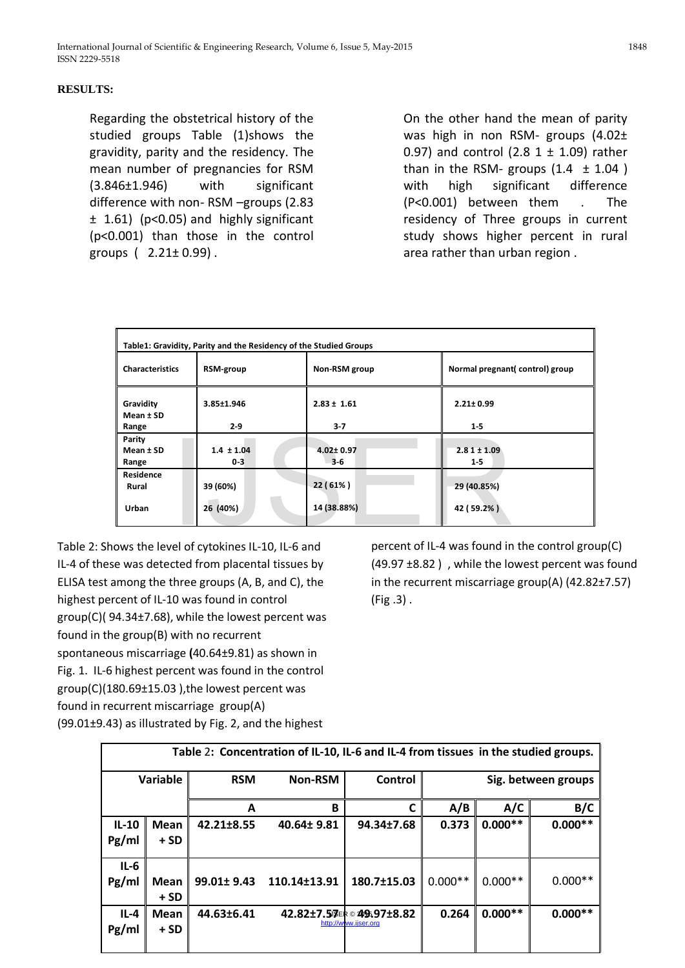### **RESULTS:**

Regarding the obstetrical history of the studied groups Table (1)shows the gravidity, parity and the residency. The mean number of pregnancies for RSM (3.846±1.946) with significant difference with non- RSM –groups (2.83 ± 1.61) (p<0.05) and highly significant (p<0.001) than those in the control groups  $(2.21 \pm 0.99)$ .

On the other hand the mean of parity was high in non RSM- groups (4.02± 0.97) and control (2.8  $1 \pm 1.09$ ) rather than in the RSM- groups  $(1.4 \pm 1.04)$ with high significant difference (P<0.001) between them . The residency of Three groups in current study shows higher percent in rural area rather than urban region .

| Table1: Gravidity, Parity and the Residency of the Studied Groups                          |                           |                            |                                |  |  |
|--------------------------------------------------------------------------------------------|---------------------------|----------------------------|--------------------------------|--|--|
| <b>Characteristics</b>                                                                     | RSM-group                 | Non-RSM group              | Normal pregnant(control) group |  |  |
| Gravidity<br>Mean $±$ SD                                                                   | 3.85±1.946                | $2.83 \pm 1.61$            | $2.21 \pm 0.99$                |  |  |
| Range                                                                                      | $2-9$                     | $3-7$                      | $1-5$                          |  |  |
| Parity<br>Mean $±$ SD<br>Range                                                             | $1.4 \pm 1.04$<br>$0 - 3$ | $4.02 \pm 0.97$<br>$3 - 6$ | $2.81 \pm 1.09$<br>$1-5$       |  |  |
| Residence<br>Rural<br>Urban                                                                | 39 (60%)<br>26 (40%)      | 22(61%)<br>14 (38.88%)     | 29 (40.85%)<br>42 (59.2%)      |  |  |
|                                                                                            |                           |                            |                                |  |  |
| ows the level of cytokines IL-10, IL-6 and<br>percent of IL-4 was found in the control gro |                           |                            |                                |  |  |

Table 2: Shows the level of cytokines IL-10, IL-6 and IL-4 of these was detected from placental tissues by ELISA test among the three groups (A, B, and C), the highest percent of IL-10 was found in control group(C)( 94.34±7.68), while the lowest percent was found in the group(B) with no recurrent spontaneous miscarriage **(**40.64±9.81) as shown in Fig. 1. IL-6 highest percent was found in the control group(C)(180.69±15.03 ),the lowest percent was found in recurrent miscarriage group(A) (99.01±9.43) as illustrated by Fig. 2, and the highest

percent of IL-4 was found in the control group(C) (49.97 ±8.82 ) , while the lowest percent was found in the recurrent miscarriage group(A) (42.82±7.57) (Fig .3) .

| Table 2: Concentration of IL-10, IL-6 and IL-4 from tissues in the studied groups. |                      |             |                |                                                  |                     |           |           |
|------------------------------------------------------------------------------------|----------------------|-------------|----------------|--------------------------------------------------|---------------------|-----------|-----------|
|                                                                                    | <b>Variable</b>      | <b>RSM</b>  | <b>Non-RSM</b> | Control                                          | Sig. between groups |           |           |
|                                                                                    |                      | A           | B              | C                                                | A/B                 | A/C       | B/C       |
| $IL-10$<br>Pg/ml                                                                   | Mean<br>$+SD$        | 42.21±8.55  | 40.64± 9.81    | 94.34±7.68                                       | 0.373               | $0.000**$ | $0.000**$ |
| $IL-6$<br>Pg/ml                                                                    | Mean<br>$+SD$        | 99.01± 9.43 | 110.14±13.91   | 180.7±15.03                                      | $0.000**$           | $0.000**$ | $0.000**$ |
| $IL-4$<br>Pg/ml                                                                    | <b>Mean</b><br>$+SD$ | 44.63±6.41  |                | 42.82±7.57ER©495.97±8.82<br>http://www.ijser.org | 0.264               | $0.000**$ | $0.000**$ |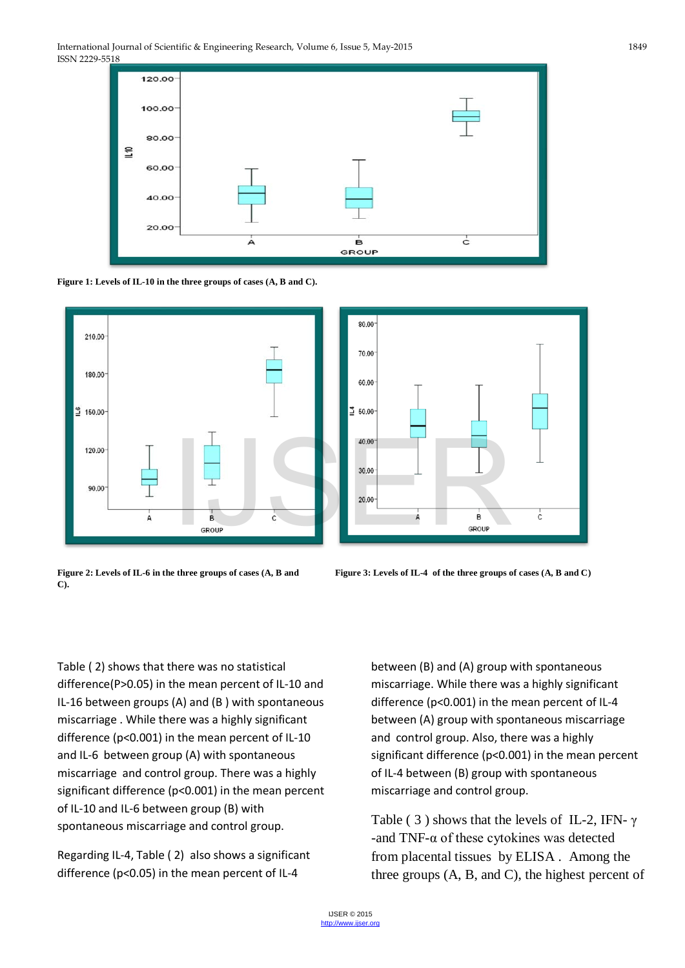







**C).** 



Table ( 2) shows that there was no statistical difference(P>0.05) in the mean percent of IL-10 and IL-16 between groups (A) and (B ) with spontaneous miscarriage . While there was a highly significant difference (p<0.001) in the mean percent of IL-10 and IL-6 between group (A) with spontaneous miscarriage and control group. There was a highly significant difference (p<0.001) in the mean percent of IL-10 and IL-6 between group (B) with spontaneous miscarriage and control group.

Regarding IL-4, Table ( 2) also shows a significant difference (p<0.05) in the mean percent of IL-4

between (B) and (A) group with spontaneous miscarriage. While there was a highly significant difference (p<0.001) in the mean percent of IL-4 between (A) group with spontaneous miscarriage and control group. Also, there was a highly significant difference (p<0.001) in the mean percent of IL-4 between (B) group with spontaneous miscarriage and control group.

Table (3) shows that the levels of IL-2, IFN-  $\gamma$ -and TNF-α of these cytokines was detected from placental tissues by ELISA . Among the three groups (A, B, and C), the highest percent of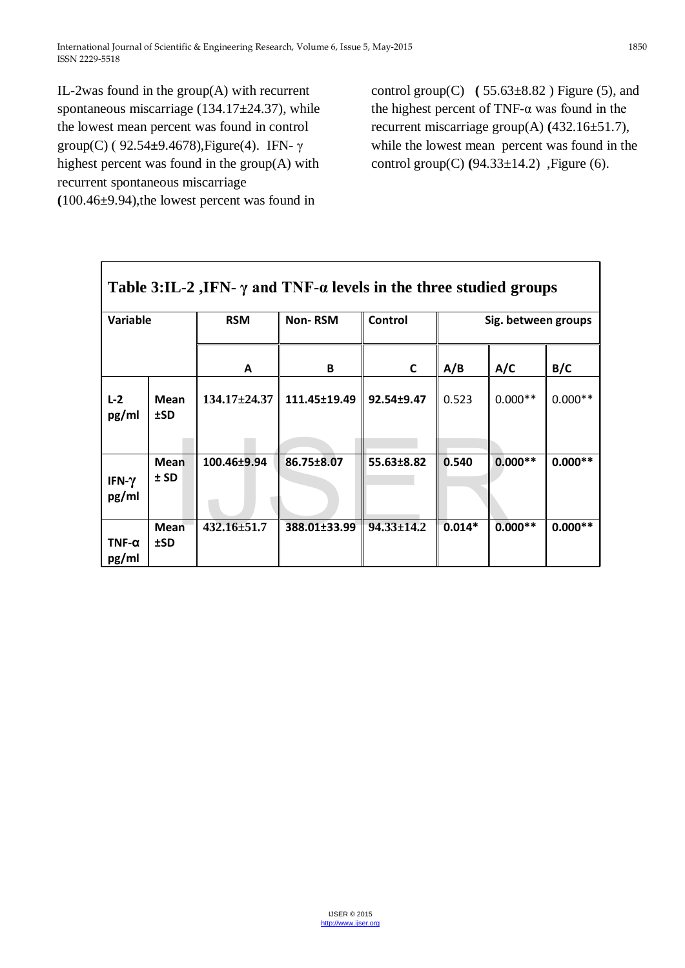IL-2was found in the group(A) with recurrent spontaneous miscarriage (134.17**±**24.37), while the lowest mean percent was found in control group(C) ( 92.54**±**9.4678),Figure(4). IFN- γ highest percent was found in the group(A) with recurrent spontaneous miscarriage **(**100.46±9.94),the lowest percent was found in

control group(C)  $(55.63\pm8.82)$  Figure (5), and the highest percent of TNF-α was found in the recurrent miscarriage group(A) **(**432.16±51.7), while the lowest mean percent was found in the control group(C) **(**94.33±14.2) ,Figure (6).

| Table 3:IL-2 ,IFN- $\gamma$ and TNF- $\alpha$ levels in the three studied groups |                       |                    |                |                  |                     |           |           |
|----------------------------------------------------------------------------------|-----------------------|--------------------|----------------|------------------|---------------------|-----------|-----------|
| <b>Variable</b>                                                                  |                       | <b>RSM</b>         | <b>Non-RSM</b> | Control          | Sig. between groups |           |           |
|                                                                                  |                       | A                  | B              | C                | A/B                 | A/C       | B/C       |
| $L-2$<br>pg/ml                                                                   | <b>Mean</b><br>±SD    | $134.17 \pm 24.37$ | 111.45±19.49   | 92.54±9.47       | 0.523               | $0.000**$ | $0.000**$ |
| IFN- $\gamma$<br>pg/ml                                                           | <b>Mean</b><br>$±$ SD | 100.46±9.94        | 86.75±8.07     | 55.63±8.82       | 0.540               | $0.000**$ | $0.000**$ |
| $TNF-\alpha$<br>pg/ml                                                            | <b>Mean</b><br>$15D$  | $432.16 \pm 51.7$  | 388.01±33.99   | $94.33 \pm 14.2$ | $0.014*$            | $0.000**$ | $0.000**$ |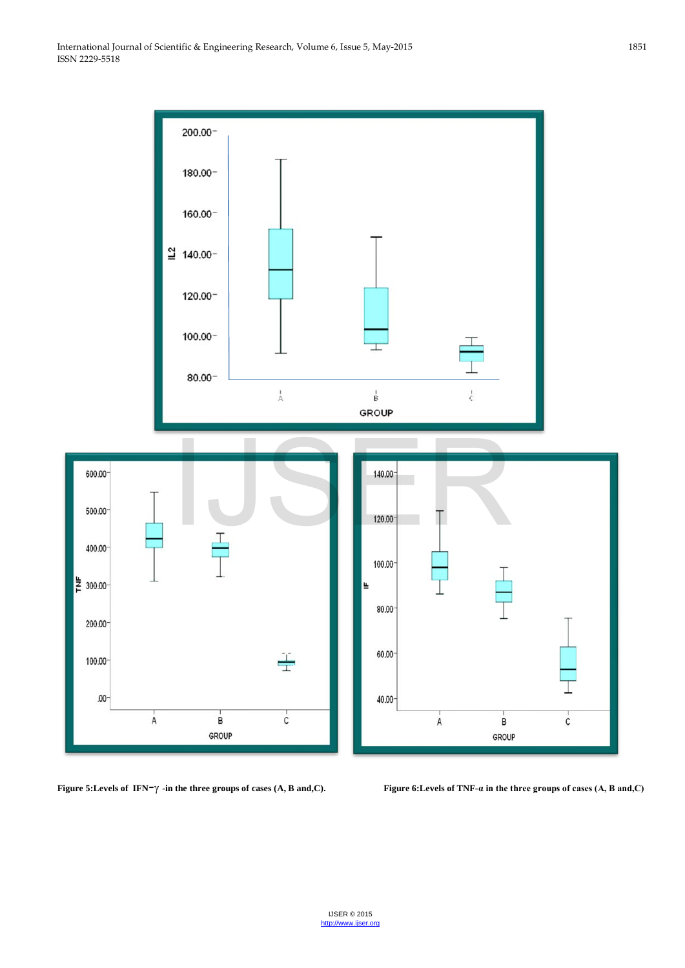

**Figure 5:Levels of IFN**-γ **-in the three groups of cases (A, B and,C). Figure 6:Levels of TNF-α in the three groups of cases (A, B and,C)**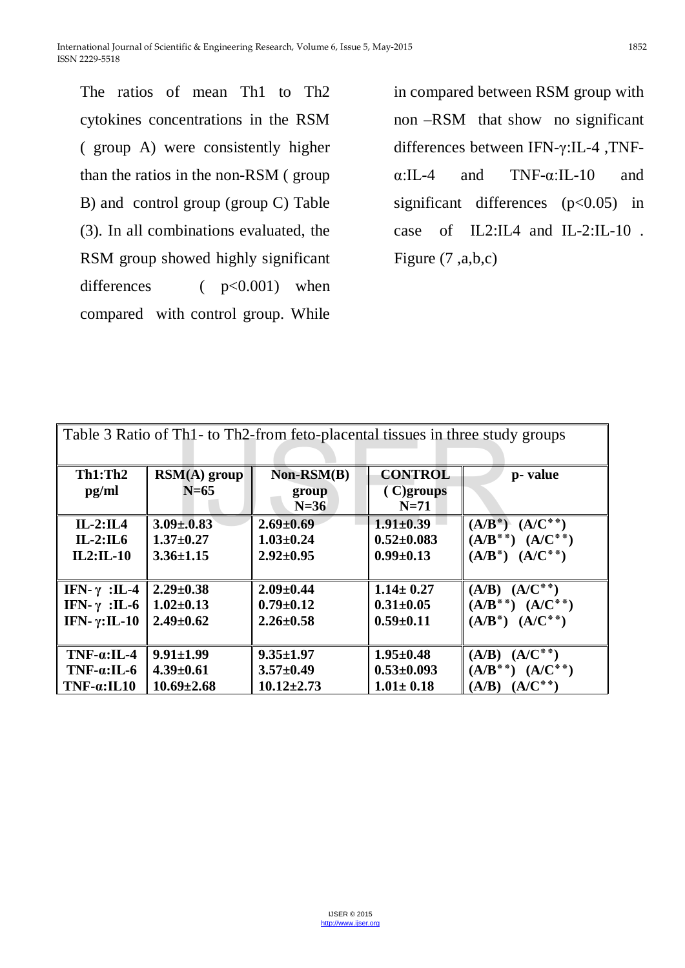The ratios of mean Th1 to Th2 cytokines concentrations in the RSM ( group A) were consistently higher than the ratios in the non-RSM ( group B) and control group (group C) Table (3). In all combinations evaluated, the RSM group showed highly significant differences  $( p<0.001)$  when compared with control group. While

in compared between RSM group with non –RSM that show no significant differences between IFN-γ:IL-4 ,TNFα:IL-4 and TNF-α:IL-10 and significant differences  $(p<0.05)$  in case of IL2:IL4 and IL-2:IL-10 . Figure (7 ,a,b,c)

| Table 3 Ratio of Th1 - to Th2-from feto-placental tissues in three study groups |                                 |                                 |                                          |                         |
|---------------------------------------------------------------------------------|---------------------------------|---------------------------------|------------------------------------------|-------------------------|
| Th1: Th2<br>pg/ml                                                               | $\text{RSM}(A)$ group<br>$N=65$ | $Non-RSM(B)$<br>group<br>$N=36$ | <b>CONTROL</b><br>$(C)$ groups<br>$N=71$ | p- value                |
| $IL-2:II.4$                                                                     | $3.09 \pm 0.83$                 | $2.69 \pm 0.69$                 | $1.91 \pm 0.39$                          | $(A/B^*) (A/C^{**})$    |
| $IL-2:IL6$                                                                      | $1.37 \pm 0.27$                 | $1.03 \pm 0.24$                 | $0.52 \pm 0.083$                         | $(A/B^{**}) (A/C^{**})$ |
| $IL2:IL-10$                                                                     | $3.36 \pm 1.15$                 | $2.92 \pm 0.95$                 | $0.99 \pm 0.13$                          | $(A/B^*)$ $(A/C^{**})$  |
| IFN- $\gamma$ :IL-4                                                             | $2.29 \pm 0.38$                 | $2.09 \pm 0.44$                 | $1.14 \pm 0.27$                          | $(A/B) (A/C^{**})$      |
| IFN- $\gamma$ :IL-6                                                             | $1.02 \pm 0.13$                 | $0.79 \pm 0.12$                 | $0.31 \pm 0.05$                          | $(A/B^{**}) (A/C^{**})$ |
| IFN- $\gamma$ :IL-10                                                            | $2.49 \pm 0.62$                 | $2.26 \pm 0.58$                 | $0.59 \pm 0.11$                          | $(A/B^*)$ $(A/C^{**})$  |
| $TNF-a:IL-4$                                                                    | $9.91 \pm 1.99$                 | $9.35 \pm 1.97$                 | $1.95 \pm 0.48$                          | $(A/B) (A/C^{**})$      |
| $TNF-a:IL-6$                                                                    | $4.39 \pm 0.61$                 | $3.57 \pm 0.49$                 | $0.53 \pm 0.093$                         | $(A/B^{**}) (A/C^{**})$ |
| $TNF-a: IL10$                                                                   | $10.69 \pm 2.68$                | $10.12 \pm 2.73$                | $1.01 \pm 0.18$                          | $(A/B) (A/C^{**})$      |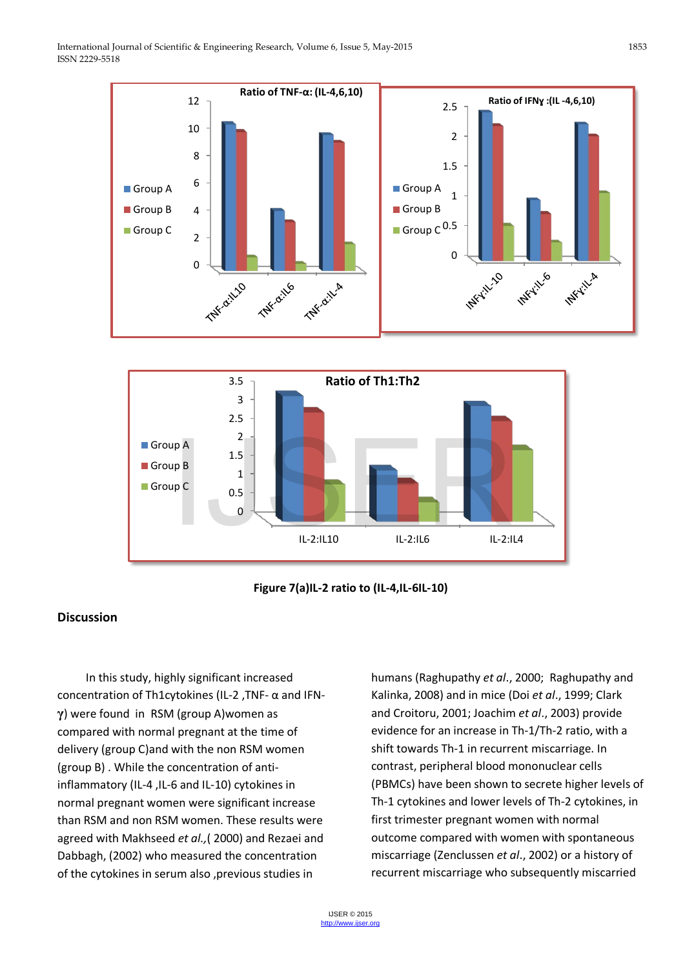





## **Discussion**

 In this study, highly significant increased concentration of Th1cytokines (IL-2 ,TNF- α and IFN**γ**) were found in RSM (group A)women as compared with normal pregnant at the time of delivery (group C)and with the non RSM women (group B) . While the concentration of antiinflammatory (IL-4 ,IL-6 and IL-10) cytokines in normal pregnant women were significant increase than RSM and non RSM women. These results were agreed with Makhseed *et al.,*( 2000) and Rezaei and Dabbagh, (2002) who measured the concentration of the cytokines in serum also ,previous studies in

humans (Raghupathy *et al*., 2000; Raghupathy and Kalinka, 2008) and in mice (Doi *et al*., 1999; Clark and Croitoru, 2001; Joachim *et al*., 2003) provide evidence for an increase in Th-1/Th-2 ratio, with a shift towards Th-1 in recurrent miscarriage. In contrast, peripheral blood mononuclear cells (PBMCs) have been shown to secrete higher levels of Th-1 cytokines and lower levels of Th-2 cytokines, in first trimester pregnant women with normal outcome compared with women with spontaneous miscarriage (Zenclussen *et al*., 2002) or a history of recurrent miscarriage who subsequently miscarried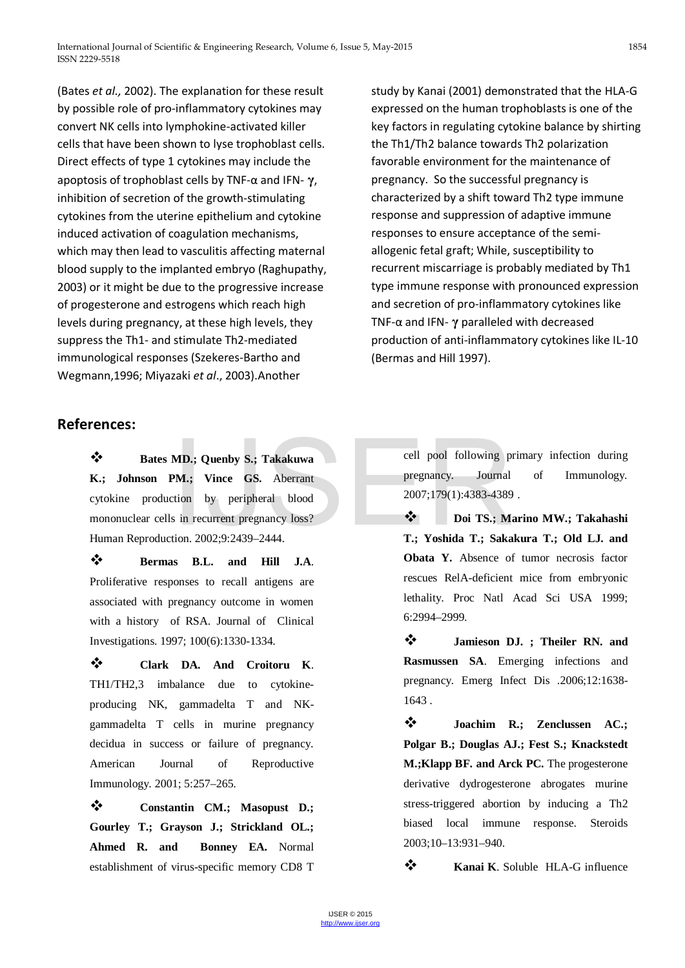(Bates *et al.,* 2002). The explanation for these result by possible role of pro-inflammatory cytokines may convert NK cells into lymphokine-activated killer cells that have been shown to lyse trophoblast cells. Direct effects of type 1 cytokines may include the apoptosis of trophoblast cells by TNF-α and IFN- **γ**, inhibition of secretion of the growth-stimulating cytokines from the uterine epithelium and cytokine induced activation of coagulation mechanisms, which may then lead to vasculitis affecting maternal blood supply to the implanted embryo (Raghupathy, 2003) or it might be due to the progressive increase of progesterone and estrogens which reach high levels during pregnancy, at these high levels, they suppress the Th1- and stimulate Th2-mediated immunological responses (Szekeres-Bartho and Wegmann,1996; Miyazaki *et al*., 2003).Another

study by Kanai (2001) demonstrated that the HLA-G expressed on the human trophoblasts is one of the key factors in regulating cytokine balance by shirting the Th1/Th2 balance towards Th2 polarization favorable environment for the maintenance of pregnancy. So the successful pregnancy is characterized by a shift toward Th2 type immune response and suppression of adaptive immune responses to ensure acceptance of the semiallogenic fetal graft; While, susceptibility to recurrent miscarriage is probably mediated by Th1 type immune response with pronounced expression and secretion of pro-inflammatory cytokines like TNF-α and IFN- **γ** paralleled with decreased production of anti-inflammatory cytokines like IL-10 (Bermas and Hill 1997).

# **References:**

 **Bates MD.; Quenby S.; Takakuwa K.; Johnson PM.; Vince GS.** Aberrant cytokine production by peripheral blood mononuclear cells in recurrent pregnancy loss? Human Reproduction. 2002;9:2439–2444. MD.; Quenby S.; Takakuwa<br>
PM.; Vince GS. Aberrant<br>
ell pool following p<br>
pregnancy. Journal<br>
sin recurrent pregnancy loss?<br>  $\begin{array}{ccc}\n\bullet & \bullet & \bullet \\
\bullet & 2007;179(1):4383-4389\n\end{array}$ <br>
tion. 2002;9:2439–2444.<br>
T.; Yoshida T.; Saka

 **Bermas B.L. and Hill J.A**. Proliferative responses to recall antigens are associated with pregnancy outcome in women with a history of RSA. Journal of Clinical Investigations. 1997; 100(6):1330-1334.

 **Clark DA. And Croitoru K**. TH1/TH2,3 imbalance due to cytokineproducing NK, gammadelta T and NKgammadelta T cells in murine pregnancy decidua in success or failure of pregnancy. American Journal of Reproductive Immunology. 2001; 5:257–265.

 **Constantin CM.; Masopust D.; Gourley T.; [Grayson J.](http://www.ncbi.nlm.nih.gov/pubmed/?term=Grayson%20J%5BAuthor%5D&cauthor=true&cauthor_uid=17878333); [Strickland OL.](http://www.ncbi.nlm.nih.gov/pubmed/?term=Strickland%20OL%5BAuthor%5D&cauthor=true&cauthor_uid=17878333); [Ahmed R.](http://www.ncbi.nlm.nih.gov/pubmed/?term=Ahmed%20R%5BAuthor%5D&cauthor=true&cauthor_uid=17878333) and [Bonney EA](http://www.ncbi.nlm.nih.gov/pubmed/?term=Bonney%20EA%5BAuthor%5D&cauthor=true&cauthor_uid=17878333).** Normal establishment of virus-specific memory CD8 T

cell pool following primary infection during pregnancy. Journal of Immunology. 2007;179(1):4383-4389 .

 **Doi TS.; Marino MW.; Takahashi T.; Yoshida T.; Sakakura T.; Old LJ. and Obata Y.** Absence of tumor necrosis factor rescues RelA-deficient mice from embryonic lethality. Proc Natl Acad Sci USA 1999; 6:2994–2999.

 **Jamieson DJ. ; Theiler RN. and Rasmussen SA**. Emerging infections and pregnancy. Emerg Infect Dis .2006;12:1638- 1643 .

 **Joachim R.; Zenclussen AC.; Polgar B.; Douglas AJ.; Fest S.; Knackstedt M.;Klapp BF. and Arck PC.** The progesterone derivative dydrogesterone abrogates murine stress-triggered abortion by inducing a Th2 biased local immune response. Steroids 2003;10–13:931–940.

**\*** Kanai K. Soluble HLA-G influence